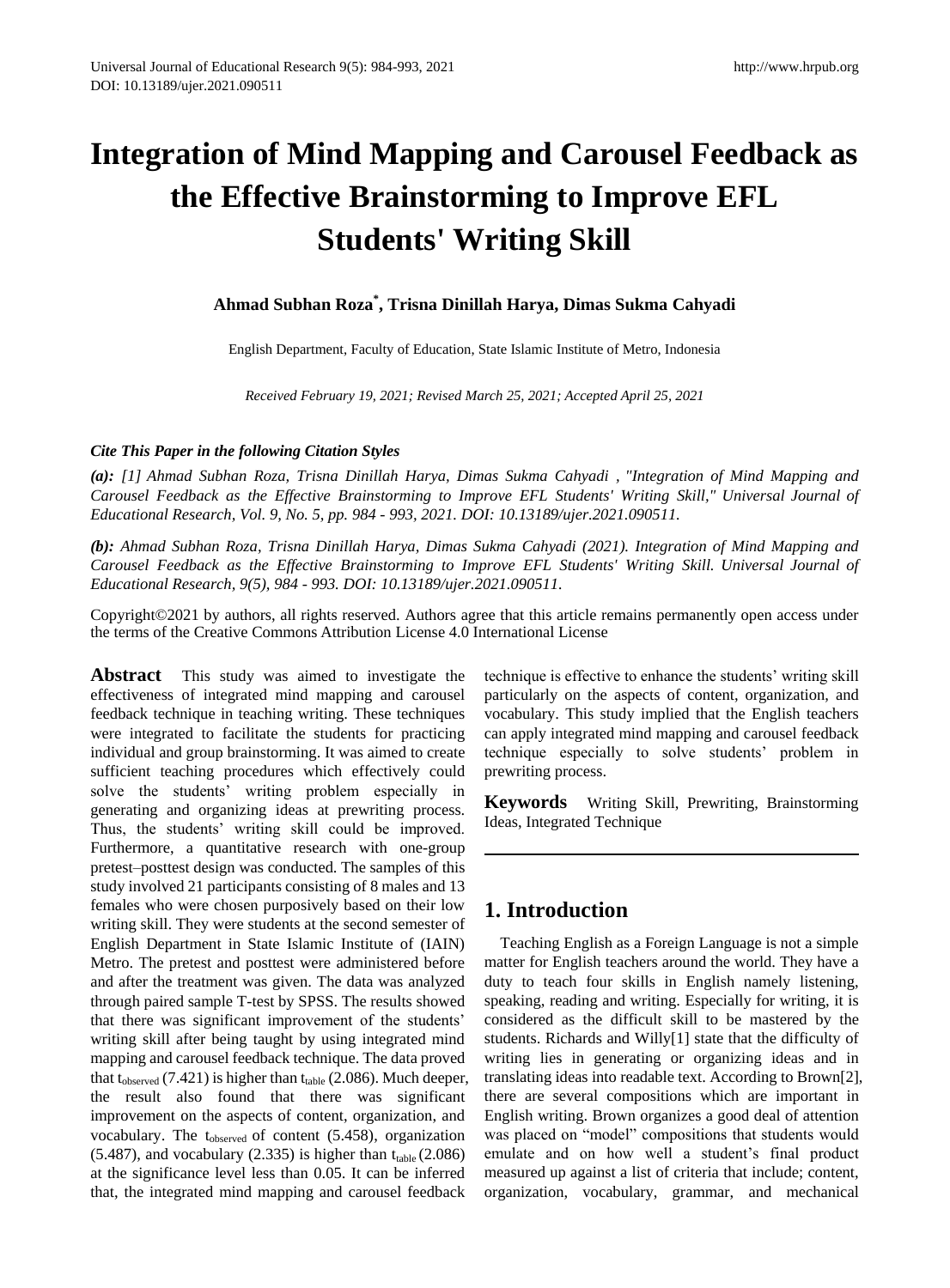# **Integration of Mind Mapping and Carousel Feedback as the Effective Brainstorming to Improve EFL Students' Writing Skill**

# **Ahmad Subhan Roza\* , Trisna Dinillah Harya, Dimas Sukma Cahyadi**

English Department, Faculty of Education, State Islamic Institute of Metro, Indonesia

*Received February 19, 2021; Revised March 25, 2021; Accepted April 25, 2021*

### *Cite This Paper in the following Citation Styles*

*(a): [1] Ahmad Subhan Roza, Trisna Dinillah Harya, Dimas Sukma Cahyadi , "Integration of Mind Mapping and Carousel Feedback as the Effective Brainstorming to Improve EFL Students' Writing Skill," Universal Journal of Educational Research, Vol. 9, No. 5, pp. 984 - 993, 2021. DOI: 10.13189/ujer.2021.090511.* 

*(b): Ahmad Subhan Roza, Trisna Dinillah Harya, Dimas Sukma Cahyadi (2021). Integration of Mind Mapping and Carousel Feedback as the Effective Brainstorming to Improve EFL Students' Writing Skill. Universal Journal of Educational Research, 9(5), 984 - 993. DOI: 10.13189/ujer.2021.090511.* 

Copyright©2021 by authors, all rights reserved. Authors agree that this article remains permanently open access under the terms of the Creative Commons Attribution License 4.0 International License

**Abstract** This study was aimed to investigate the effectiveness of integrated mind mapping and carousel feedback technique in teaching writing. These techniques were integrated to facilitate the students for practicing individual and group brainstorming. It was aimed to create sufficient teaching procedures which effectively could solve the students' writing problem especially in generating and organizing ideas at prewriting process. Thus, the students' writing skill could be improved. Furthermore, a quantitative research with one-group pretest–posttest design was conducted. The samples of this study involved 21 participants consisting of 8 males and 13 females who were chosen purposively based on their low writing skill. They were students at the second semester of English Department in State Islamic Institute of (IAIN) Metro. The pretest and posttest were administered before and after the treatment was given. The data was analyzed through paired sample T-test by SPSS. The results showed that there was significant improvement of the students' writing skill after being taught by using integrated mind mapping and carousel feedback technique. The data proved that  $t_{observed}$  (7.421) is higher than  $t_{table}$  (2.086). Much deeper, the result also found that there was significant improvement on the aspects of content, organization, and vocabulary. The t<sub>observed</sub> of content (5.458), organization  $(5.487)$ , and vocabulary  $(2.335)$  is higher than  $t_{table}(2.086)$ at the significance level less than 0.05. It can be inferred that, the integrated mind mapping and carousel feedback

technique is effective to enhance the students' writing skill particularly on the aspects of content, organization, and vocabulary. This study implied that the English teachers can apply integrated mind mapping and carousel feedback technique especially to solve students' problem in prewriting process.

**Keywords** Writing Skill, Prewriting, Brainstorming Ideas, Integrated Technique

# **1. Introduction**

Teaching English as a Foreign Language is not a simple matter for English teachers around the world. They have a duty to teach four skills in English namely listening, speaking, reading and writing. Especially for writing, it is considered as the difficult skill to be mastered by the students. Richards and Willy[1] state that the difficulty of writing lies in generating or organizing ideas and in translating ideas into readable text. According to Brown[2], there are several compositions which are important in English writing. Brown organizes a good deal of attention was placed on "model" compositions that students would emulate and on how well a student's final product measured up against a list of criteria that include; content, organization, vocabulary, grammar, and mechanical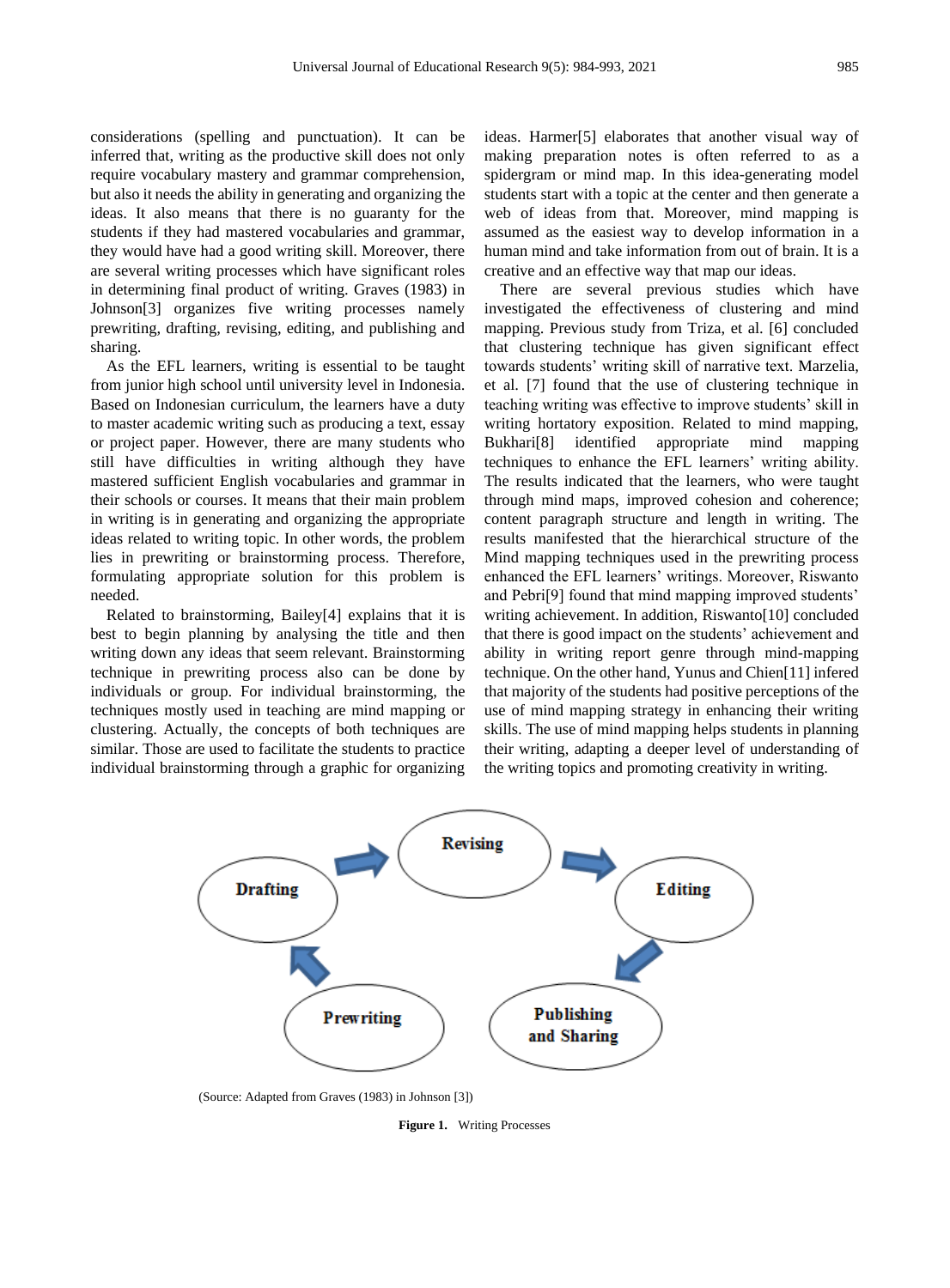considerations (spelling and punctuation). It can be inferred that, writing as the productive skill does not only require vocabulary mastery and grammar comprehension, but also it needs the ability in generating and organizing the ideas. It also means that there is no guaranty for the students if they had mastered vocabularies and grammar, they would have had a good writing skill. Moreover, there are several writing processes which have significant roles in determining final product of writing. Graves (1983) in Johnson[3] organizes five writing processes namely prewriting, drafting, revising, editing, and publishing and sharing.

As the EFL learners, writing is essential to be taught from junior high school until university level in Indonesia. Based on Indonesian curriculum, the learners have a duty to master academic writing such as producing a text, essay or project paper. However, there are many students who still have difficulties in writing although they have mastered sufficient English vocabularies and grammar in their schools or courses. It means that their main problem in writing is in generating and organizing the appropriate ideas related to writing topic. In other words, the problem lies in prewriting or brainstorming process. Therefore, formulating appropriate solution for this problem is needed.

Related to brainstorming, Bailey[4] explains that it is best to begin planning by analysing the title and then writing down any ideas that seem relevant. Brainstorming technique in prewriting process also can be done by individuals or group. For individual brainstorming, the techniques mostly used in teaching are mind mapping or clustering. Actually, the concepts of both techniques are similar. Those are used to facilitate the students to practice individual brainstorming through a graphic for organizing

ideas. Harmer[5] elaborates that another visual way of making preparation notes is often referred to as a spidergram or mind map. In this idea-generating model students start with a topic at the center and then generate a web of ideas from that. Moreover, mind mapping is assumed as the easiest way to develop information in a human mind and take information from out of brain. It is a creative and an effective way that map our ideas.

There are several previous studies which have investigated the effectiveness of clustering and mind mapping. Previous study from Triza, et al. [6] concluded that clustering technique has given significant effect towards students' writing skill of narrative text. Marzelia, et al. [7] found that the use of clustering technique in teaching writing was effective to improve students' skill in writing hortatory exposition. Related to mind mapping, Bukhari[8] identified appropriate mind mapping techniques to enhance the EFL learners' writing ability. The results indicated that the learners, who were taught through mind maps, improved cohesion and coherence; content paragraph structure and length in writing. The results manifested that the hierarchical structure of the Mind mapping techniques used in the prewriting process enhanced the EFL learners' writings. Moreover, Riswanto and Pebri[9] found that mind mapping improved students' writing achievement. In addition, Riswanto[10] concluded that there is good impact on the students' achievement and ability in writing report genre through mind-mapping technique. On the other hand, Yunus and Chien[11] infered that majority of the students had positive perceptions of the use of mind mapping strategy in enhancing their writing skills. The use of mind mapping helps students in planning their writing, adapting a deeper level of understanding of the writing topics and promoting creativity in writing.



(Source: Adapted from Graves (1983) in Johnson [3])

**Figure 1.** Writing Processes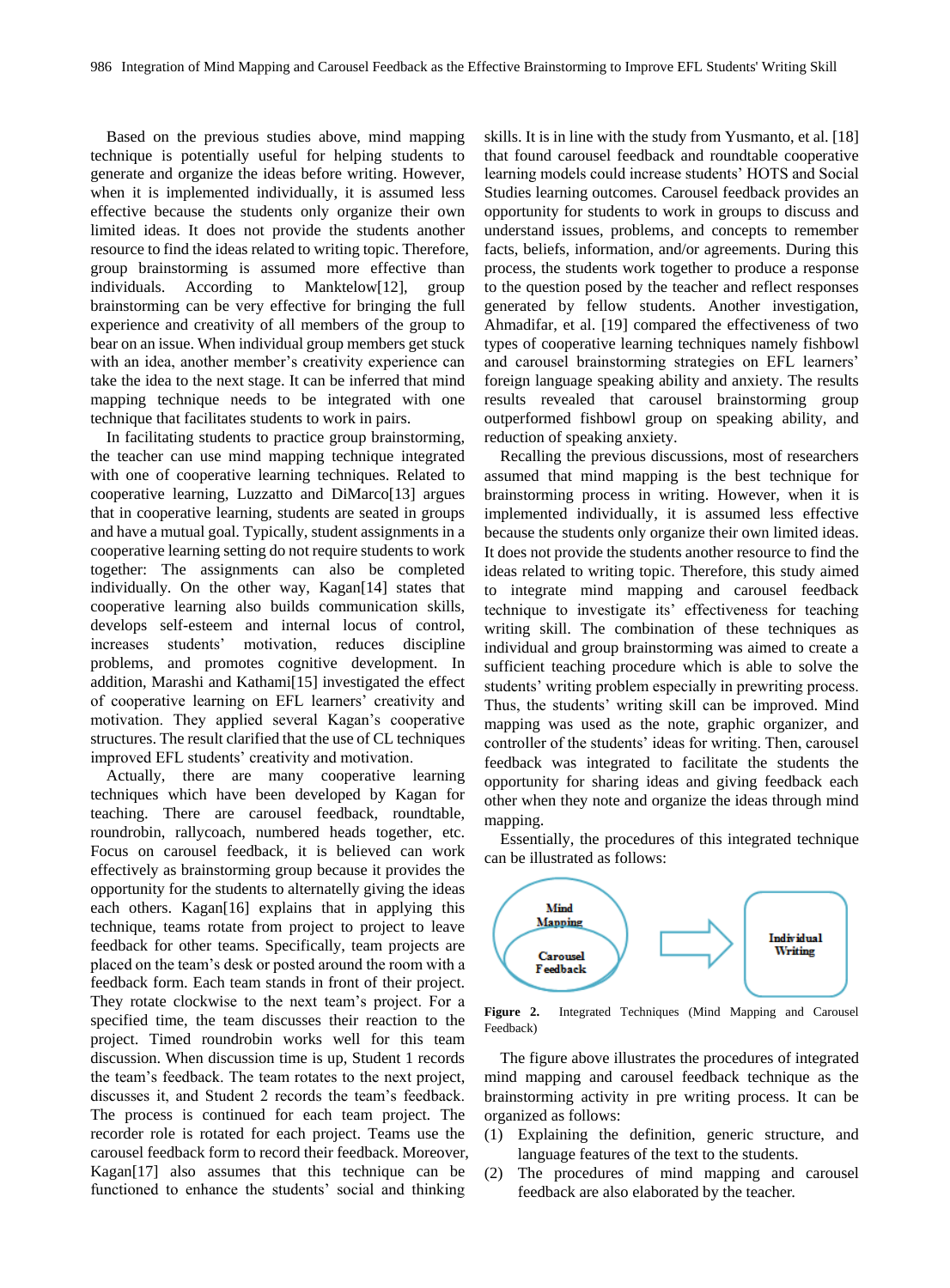Based on the previous studies above, mind mapping technique is potentially useful for helping students to generate and organize the ideas before writing. However, when it is implemented individually, it is assumed less effective because the students only organize their own limited ideas. It does not provide the students another resource to find the ideas related to writing topic. Therefore, group brainstorming is assumed more effective than individuals. According to Manktelow[12], group brainstorming can be very effective for bringing the full experience and creativity of all members of the group to bear on an issue. When individual group members get stuck with an idea, another member's creativity experience can take the idea to the next stage. It can be inferred that mind mapping technique needs to be integrated with one technique that facilitates students to work in pairs.

In facilitating students to practice group brainstorming, the teacher can use mind mapping technique integrated with one of cooperative learning techniques. Related to cooperative learning, Luzzatto and DiMarco[13] argues that in cooperative learning, students are seated in groups and have a mutual goal. Typically, student assignments in a cooperative learning setting do not require students to work together: The assignments can also be completed individually. On the other way, Kagan[14] states that cooperative learning also builds communication skills, develops self-esteem and internal locus of control, increases students' motivation, reduces discipline problems, and promotes cognitive development. In addition, Marashi and Kathami[15] investigated the effect of cooperative learning on EFL learners' creativity and motivation. They applied several Kagan's cooperative structures. The result clarified that the use of CL techniques improved EFL students' creativity and motivation.

Actually, there are many cooperative learning techniques which have been developed by Kagan for teaching. There are carousel feedback, roundtable, roundrobin, rallycoach, numbered heads together, etc. Focus on carousel feedback, it is believed can work effectively as brainstorming group because it provides the opportunity for the students to alternatelly giving the ideas each others. Kagan[16] explains that in applying this technique, teams rotate from project to project to leave feedback for other teams. Specifically, team projects are placed on the team's desk or posted around the room with a feedback form. Each team stands in front of their project. They rotate clockwise to the next team's project. For a specified time, the team discusses their reaction to the project. Timed roundrobin works well for this team discussion. When discussion time is up, Student 1 records the team's feedback. The team rotates to the next project, discusses it, and Student 2 records the team's feedback. The process is continued for each team project. The recorder role is rotated for each project. Teams use the carousel feedback form to record their feedback. Moreover, Kagan[17] also assumes that this technique can be functioned to enhance the students' social and thinking

skills. It is in line with the study from Yusmanto, et al. [18] that found carousel feedback and roundtable cooperative learning models could increase students' HOTS and Social Studies learning outcomes. Carousel feedback provides an opportunity for students to work in groups to discuss and understand issues, problems, and concepts to remember facts, beliefs, information, and/or agreements. During this process, the students work together to produce a response to the question posed by the teacher and reflect responses generated by fellow students. Another investigation, Ahmadifar, et al. [19] compared the effectiveness of two types of cooperative learning techniques namely fishbowl and carousel brainstorming strategies on EFL learners' foreign language speaking ability and anxiety. The results results revealed that carousel brainstorming group outperformed fishbowl group on speaking ability, and reduction of speaking anxiety.

Recalling the previous discussions, most of researchers assumed that mind mapping is the best technique for brainstorming process in writing. However, when it is implemented individually, it is assumed less effective because the students only organize their own limited ideas. It does not provide the students another resource to find the ideas related to writing topic. Therefore, this study aimed to integrate mind mapping and carousel feedback technique to investigate its' effectiveness for teaching writing skill. The combination of these techniques as individual and group brainstorming was aimed to create a sufficient teaching procedure which is able to solve the students' writing problem especially in prewriting process. Thus, the students' writing skill can be improved. Mind mapping was used as the note, graphic organizer, and controller of the students' ideas for writing. Then, carousel feedback was integrated to facilitate the students the opportunity for sharing ideas and giving feedback each other when they note and organize the ideas through mind mapping.

Essentially, the procedures of this integrated technique can be illustrated as follows:



**Figure 2.** Integrated Techniques (Mind Mapping and Carousel Feedback)

The figure above illustrates the procedures of integrated mind mapping and carousel feedback technique as the brainstorming activity in pre writing process. It can be organized as follows:

- (1) Explaining the definition, generic structure, and language features of the text to the students.
- (2) The procedures of mind mapping and carousel feedback are also elaborated by the teacher.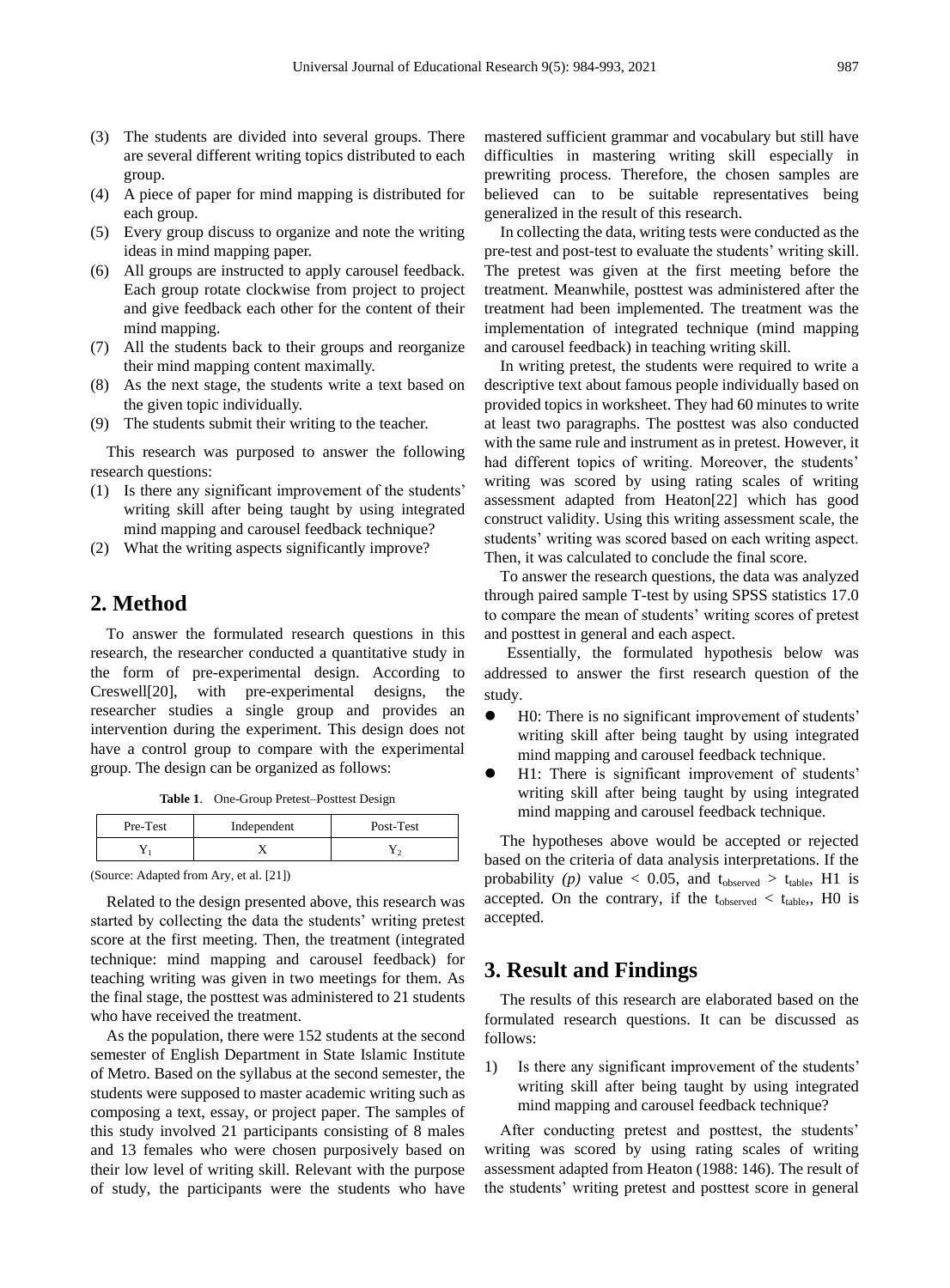- (3) The students are divided into several groups. There are several different writing topics distributed to each group.
- (4) A piece of paper for mind mapping is distributed for each group.
- (5) Every group discuss to organize and note the writing ideas in mind mapping paper.
- (6) All groups are instructed to apply carousel feedback. Each group rotate clockwise from project to project and give feedback each other for the content of their mind mapping.
- (7) All the students back to their groups and reorganize their mind mapping content maximally.
- (8) As the next stage, the students write a text based on the given topic individually.
- (9) The students submit their writing to the teacher.

This research was purposed to answer the following research questions:

- (1) Is there any significant improvement of the students' writing skill after being taught by using integrated mind mapping and carousel feedback technique?
- (2) What the writing aspects significantly improve?

# **2. Method**

To answer the formulated research questions in this research, the researcher conducted a quantitative study in the form of pre-experimental design. According to Creswell[20], with pre-experimental designs, the researcher studies a single group and provides an intervention during the experiment. This design does not have a control group to compare with the experimental group. The design can be organized as follows:

**Table 1**. One-Group Pretest–Posttest Design

| Pre-Test | Independent | Post-Test |
|----------|-------------|-----------|
|          |             |           |

(Source: Adapted from Ary, et al. [21])

Related to the design presented above, this research was started by collecting the data the students' writing pretest score at the first meeting. Then, the treatment (integrated technique: mind mapping and carousel feedback) for teaching writing was given in two meetings for them. As the final stage, the posttest was administered to 21 students who have received the treatment.

As the population, there were 152 students at the second semester of English Department in State Islamic Institute of Metro. Based on the syllabus at the second semester, the students were supposed to master academic writing such as composing a text, essay, or project paper. The samples of this study involved 21 participants consisting of 8 males and 13 females who were chosen purposively based on their low level of writing skill. Relevant with the purpose of study, the participants were the students who have

mastered sufficient grammar and vocabulary but still have difficulties in mastering writing skill especially in prewriting process. Therefore, the chosen samples are believed can to be suitable representatives being generalized in the result of this research.

In collecting the data, writing tests were conducted as the pre-test and post-test to evaluate the students' writing skill. The pretest was given at the first meeting before the treatment. Meanwhile, posttest was administered after the treatment had been implemented. The treatment was the implementation of integrated technique (mind mapping and carousel feedback) in teaching writing skill.

In writing pretest, the students were required to write a descriptive text about famous people individually based on provided topics in worksheet. They had 60 minutes to write at least two paragraphs. The posttest was also conducted with the same rule and instrument as in pretest. However, it had different topics of writing. Moreover, the students' writing was scored by using rating scales of writing assessment adapted from Heaton[22] which has good construct validity. Using this writing assessment scale, the students' writing was scored based on each writing aspect. Then, it was calculated to conclude the final score.

To answer the research questions, the data was analyzed through paired sample T-test by using SPSS statistics 17.0 to compare the mean of students' writing scores of pretest and posttest in general and each aspect.

Essentially, the formulated hypothesis below was addressed to answer the first research question of the study.

- H0: There is no significant improvement of students' writing skill after being taught by using integrated mind mapping and carousel feedback technique.
- H1: There is significant improvement of students' writing skill after being taught by using integrated mind mapping and carousel feedback technique.

The hypotheses above would be accepted or rejected based on the criteria of data analysis interpretations. If the probability (p) value  $< 0.05$ , and t<sub>observed</sub>  $> t_{table}$ , H1 is accepted. On the contrary, if the  $t_{observed} < t_{table}$ , H0 is accepted.

# **3. Result and Findings**

The results of this research are elaborated based on the formulated research questions. It can be discussed as follows:

1) Is there any significant improvement of the students' writing skill after being taught by using integrated mind mapping and carousel feedback technique?

After conducting pretest and posttest, the students' writing was scored by using rating scales of writing assessment adapted from Heaton (1988: 146). The result of the students' writing pretest and posttest score in general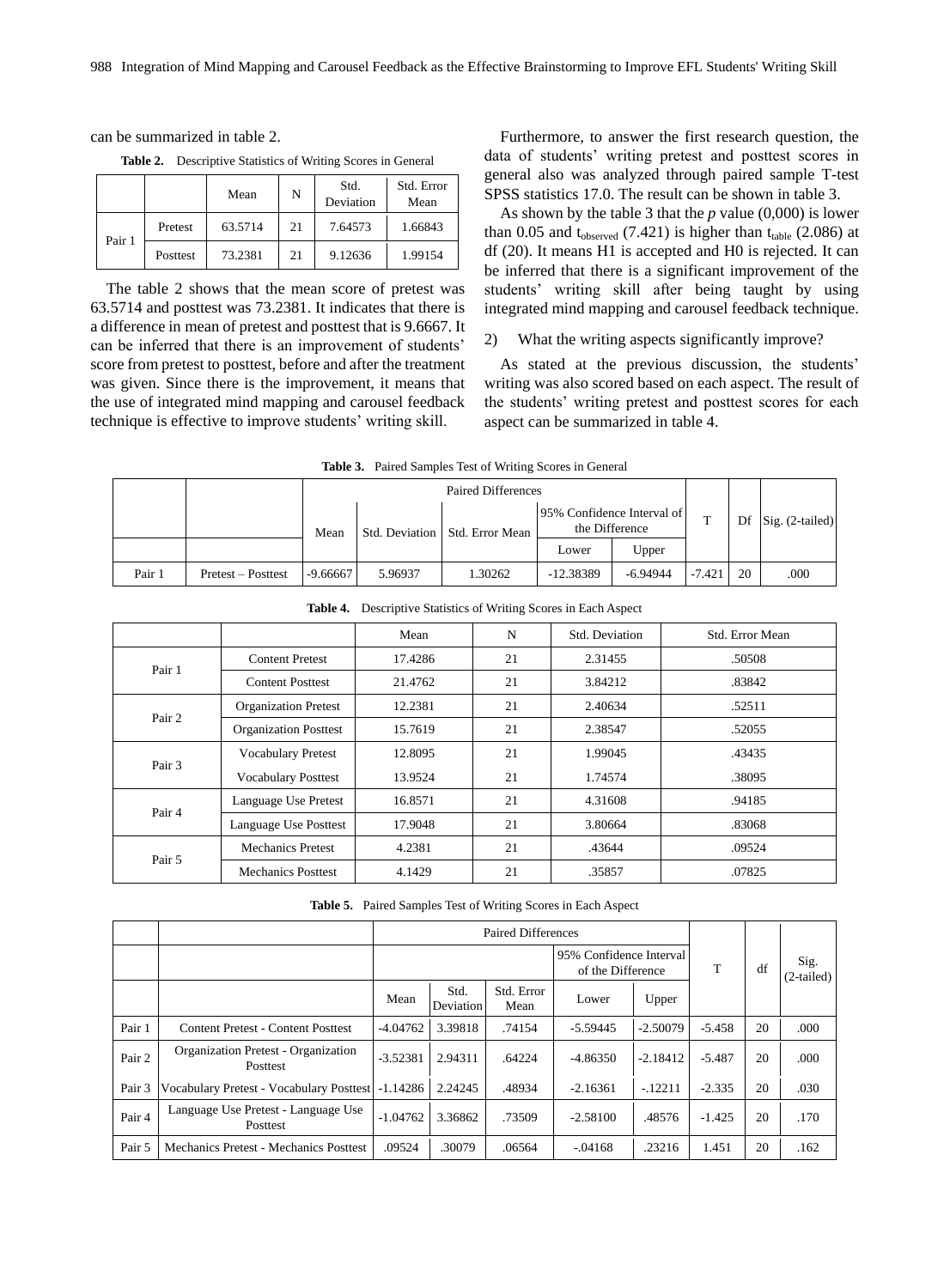can be summarized in table 2.

**Table 2.** Descriptive Statistics of Writing Scores in General

|        |          | Mean    | N  | Std.<br>Deviation | Std. Error<br>Mean |
|--------|----------|---------|----|-------------------|--------------------|
| Pair 1 | Pretest  | 63.5714 | 21 | 7.64573           | 1.66843            |
|        | Posttest | 73.2381 | 21 | 9.12636           | 1.99154            |

The table 2 shows that the mean score of pretest was 63.5714 and posttest was 73.2381. It indicates that there is a difference in mean of pretest and posttest that is 9.6667. It can be inferred that there is an improvement of students' score from pretest to posttest, before and after the treatment was given. Since there is the improvement, it means that the use of integrated mind mapping and carousel feedback technique is effective to improve students' writing skill.

Furthermore, to answer the first research question, the data of students' writing pretest and posttest scores in general also was analyzed through paired sample T-test SPSS statistics 17.0. The result can be shown in table 3.

As shown by the table 3 that the *p* value (0,000) is lower than 0.05 and  $t_{observed}$  (7.421) is higher than  $t_{table}$  (2.086) at df (20). It means H1 is accepted and H0 is rejected. It can be inferred that there is a significant improvement of the students' writing skill after being taught by using integrated mind mapping and carousel feedback technique.

#### 2) What the writing aspects significantly improve?

As stated at the previous discussion, the students' writing was also scored based on each aspect. The result of the students' writing pretest and posttest scores for each aspect can be summarized in table 4.

| <b>Table 3.</b> Paired Samples Test of Writing Scores in General |                    |            |         |                                  |                                              |            |          |    |                   |
|------------------------------------------------------------------|--------------------|------------|---------|----------------------------------|----------------------------------------------|------------|----------|----|-------------------|
|                                                                  |                    |            |         |                                  |                                              |            |          |    |                   |
|                                                                  |                    | Mean       |         | Std. Deviation   Std. Error Mean | 95% Confidence Interval of<br>the Difference |            | T        | Df | $Sig. (2-tailed)$ |
|                                                                  |                    |            |         |                                  | Lower                                        | Upper      |          |    |                   |
| Pair 1                                                           | Pretest – Posttest | $-9.66667$ | 5.96937 | 1.30262                          | $-12.38389$                                  | $-6.94944$ | $-7.421$ | 20 | .000              |

|        |                              | Mean    | N  | Std. Deviation | Std. Error Mean |
|--------|------------------------------|---------|----|----------------|-----------------|
| Pair 1 | <b>Content Pretest</b>       | 17.4286 | 21 | 2.31455        | .50508          |
|        | <b>Content Posttest</b>      | 21.4762 | 21 | 3.84212        | .83842          |
| Pair 2 | <b>Organization Pretest</b>  | 12.2381 | 21 | 2.40634        | .52511          |
|        | <b>Organization Posttest</b> | 15.7619 | 21 | 2.38547        | .52055          |
| Pair 3 | <b>Vocabulary Pretest</b>    | 12.8095 | 21 | 1.99045        | .43435          |
|        | <b>Vocabulary Posttest</b>   | 13.9524 | 21 | 1.74574        | .38095          |
| Pair 4 | Language Use Pretest         | 16.8571 | 21 | 4.31608        | .94185          |
|        | Language Use Posttest        | 17.9048 | 21 | 3.80664        | .83068          |
|        | <b>Mechanics Pretest</b>     | 4.2381  | 21 | .43644         | .09524          |
| Pair 5 | <b>Mechanics Posttest</b>    | 4.1429  | 21 | .35857         | .07825          |

**Table 4.** Descriptive Statistics of Writing Scores in Each Aspect

**Table 5.** Paired Samples Test of Writing Scores in Each Aspect

|        |                                                    |            |                   |                    | 95% Confidence Interval<br>of the Difference | T          | df       | Sig.<br>(2-tailed) |      |
|--------|----------------------------------------------------|------------|-------------------|--------------------|----------------------------------------------|------------|----------|--------------------|------|
|        |                                                    | Mean       | Std.<br>Deviation | Std. Error<br>Mean | Lower                                        | Upper      |          |                    |      |
| Pair 1 | <b>Content Pretest - Content Posttest</b>          | $-4.04762$ | 3.39818           | .74154             | $-5.59445$                                   | $-2.50079$ | $-5.458$ | 20                 | .000 |
| Pair 2 | Organization Pretest - Organization<br>Posttest    | $-3.52381$ | 2.94311           | .64224             | $-4.86350$                                   | $-2.18412$ | $-5.487$ | 20                 | .000 |
| Pair 3 | Vocabulary Pretest - Vocabulary Posttest - 1.14286 |            | 2.24245           | .48934             | $-2.16361$                                   | $-12211$   | $-2.335$ | 20                 | .030 |
| Pair 4 | Language Use Pretest - Language Use<br>Posttest    | $-1.04762$ | 3.36862           | .73509             | $-2.58100$                                   | .48576     | $-1.425$ | 20                 | .170 |
| Pair 5 | Mechanics Pretest - Mechanics Posttest             | .09524     | .30079            | .06564             | $-.04168$                                    | .23216     | 1.451    | 20                 | .162 |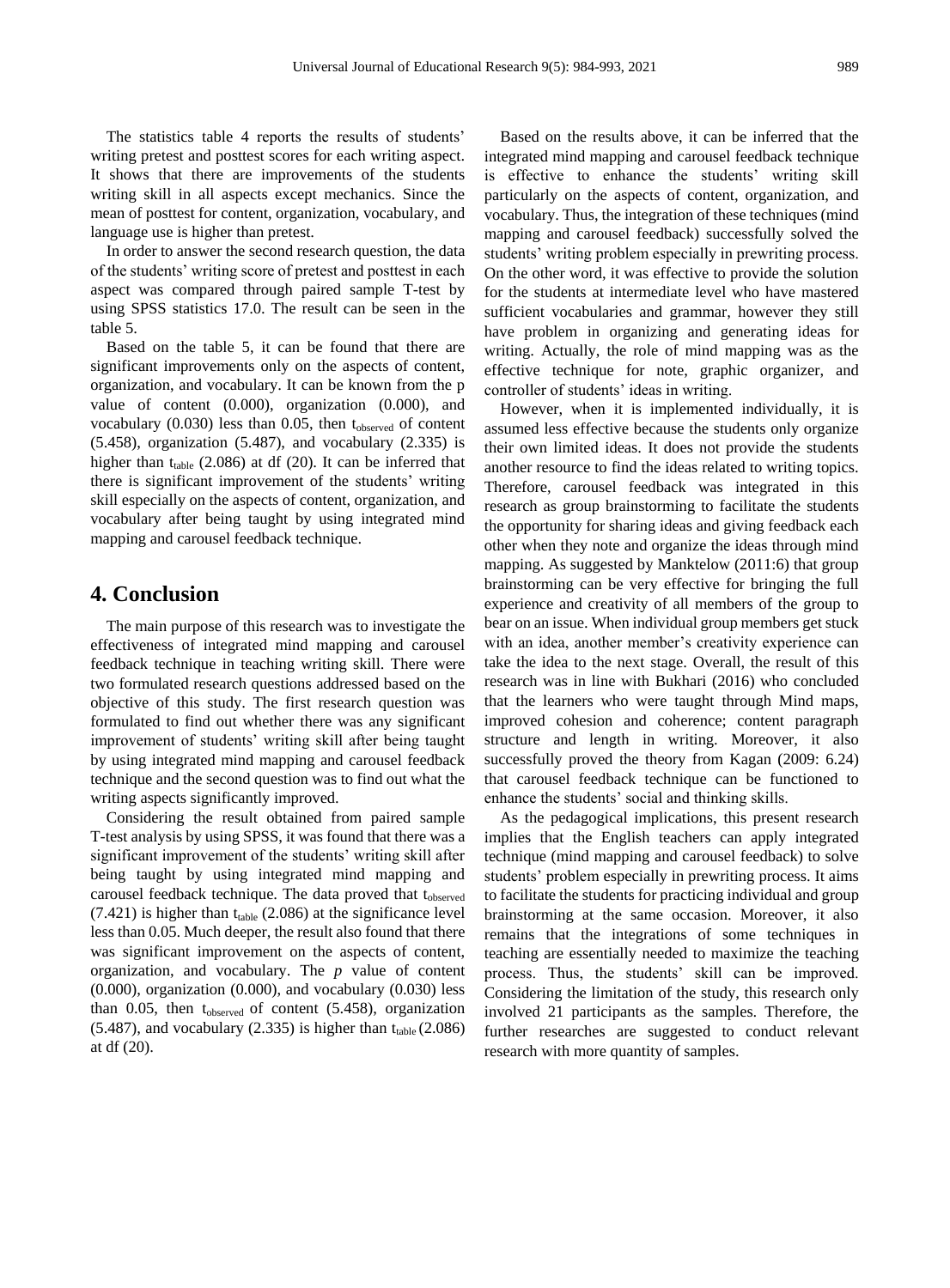The statistics table 4 reports the results of students' writing pretest and posttest scores for each writing aspect. It shows that there are improvements of the students writing skill in all aspects except mechanics. Since the mean of posttest for content, organization, vocabulary, and language use is higher than pretest.

In order to answer the second research question, the data of the students' writing score of pretest and posttest in each aspect was compared through paired sample T-test by using SPSS statistics 17.0. The result can be seen in the table 5.

Based on the table 5, it can be found that there are significant improvements only on the aspects of content, organization, and vocabulary. It can be known from the p value of content (0.000), organization (0.000), and vocabulary  $(0.030)$  less than 0.05, then  $t_{observed}$  of content (5.458), organization (5.487), and vocabulary (2.335) is higher than  $t_{table}$  (2.086) at df (20). It can be inferred that there is significant improvement of the students' writing skill especially on the aspects of content, organization, and vocabulary after being taught by using integrated mind mapping and carousel feedback technique.

## **4. Conclusion**

The main purpose of this research was to investigate the effectiveness of integrated mind mapping and carousel feedback technique in teaching writing skill. There were two formulated research questions addressed based on the objective of this study. The first research question was formulated to find out whether there was any significant improvement of students' writing skill after being taught by using integrated mind mapping and carousel feedback technique and the second question was to find out what the writing aspects significantly improved.

Considering the result obtained from paired sample T-test analysis by using SPSS, it was found that there was a significant improvement of the students' writing skill after being taught by using integrated mind mapping and carousel feedback technique. The data proved that tobserved  $(7.421)$  is higher than t<sub>table</sub>  $(2.086)$  at the significance level less than 0.05. Much deeper, the result also found that there was significant improvement on the aspects of content, organization, and vocabulary. The *p* value of content (0.000), organization (0.000), and vocabulary (0.030) less than  $0.05$ , then  $t_{observed}$  of content (5.458), organization  $(5.487)$ , and vocabulary  $(2.335)$  is higher than t<sub>table</sub>  $(2.086)$ at df (20).

Based on the results above, it can be inferred that the integrated mind mapping and carousel feedback technique is effective to enhance the students' writing skill particularly on the aspects of content, organization, and vocabulary. Thus, the integration of these techniques (mind mapping and carousel feedback) successfully solved the students' writing problem especially in prewriting process. On the other word, it was effective to provide the solution for the students at intermediate level who have mastered sufficient vocabularies and grammar, however they still have problem in organizing and generating ideas for writing. Actually, the role of mind mapping was as the effective technique for note, graphic organizer, and controller of students' ideas in writing.

However, when it is implemented individually, it is assumed less effective because the students only organize their own limited ideas. It does not provide the students another resource to find the ideas related to writing topics. Therefore, carousel feedback was integrated in this research as group brainstorming to facilitate the students the opportunity for sharing ideas and giving feedback each other when they note and organize the ideas through mind mapping. As suggested by Manktelow (2011:6) that group brainstorming can be very effective for bringing the full experience and creativity of all members of the group to bear on an issue. When individual group members get stuck with an idea, another member's creativity experience can take the idea to the next stage. Overall, the result of this research was in line with Bukhari (2016) who concluded that the learners who were taught through Mind maps, improved cohesion and coherence; content paragraph structure and length in writing. Moreover, it also successfully proved the theory from Kagan (2009: 6.24) that carousel feedback technique can be functioned to enhance the students' social and thinking skills.

As the pedagogical implications, this present research implies that the English teachers can apply integrated technique (mind mapping and carousel feedback) to solve students' problem especially in prewriting process. It aims to facilitate the students for practicing individual and group brainstorming at the same occasion. Moreover, it also remains that the integrations of some techniques in teaching are essentially needed to maximize the teaching process. Thus, the students' skill can be improved. Considering the limitation of the study, this research only involved 21 participants as the samples. Therefore, the further researches are suggested to conduct relevant research with more quantity of samples.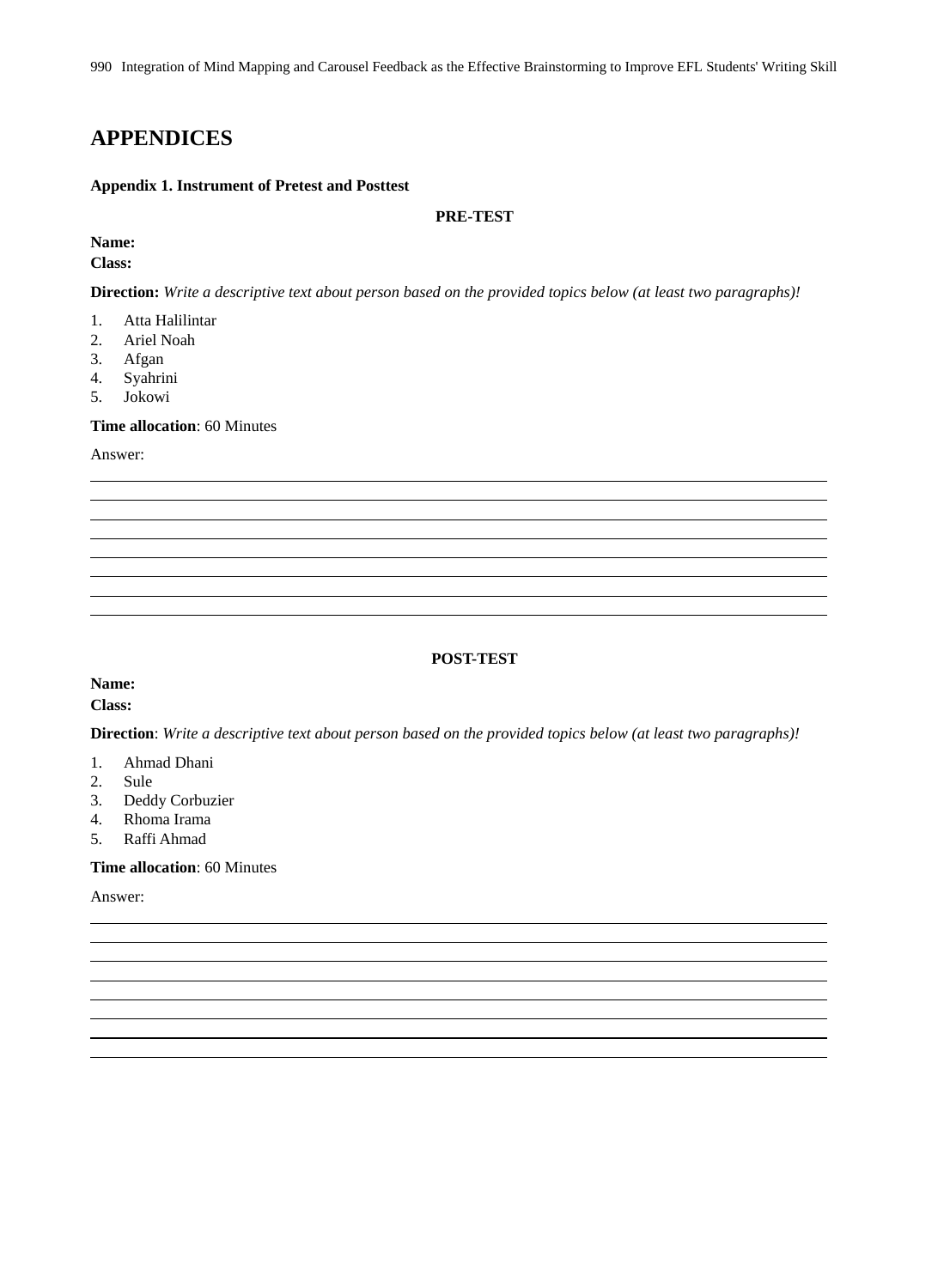990 Integration of Mind Mapping and Carousel Feedback as the Effective Brainstorming to Improve EFL Students' Writing Skill

# **APPENDICES**

### **Appendix 1. Instrument of Pretest and Posttest**

### **PRE-TEST**

# **Name:**

## **Class:**

**Direction:** *Write a descriptive text about person based on the provided topics below (at least two paragraphs)!*

- 1. Atta Halilintar
- 2. Ariel Noah
- 3. Afgan
- 4. Syahrini
- 5. Jokowi

#### **Time allocation**: 60 Minutes

Answer:

### **POST-TEST**

## **Name:**

**Class:**

**Direction**: *Write a descriptive text about person based on the provided topics below (at least two paragraphs)!*

- 1. Ahmad Dhani
- 2. Sule
- 3. Deddy Corbuzier
- 4. Rhoma Irama
- 5. Raffi Ahmad

### **Time allocation**: 60 Minutes

Answer: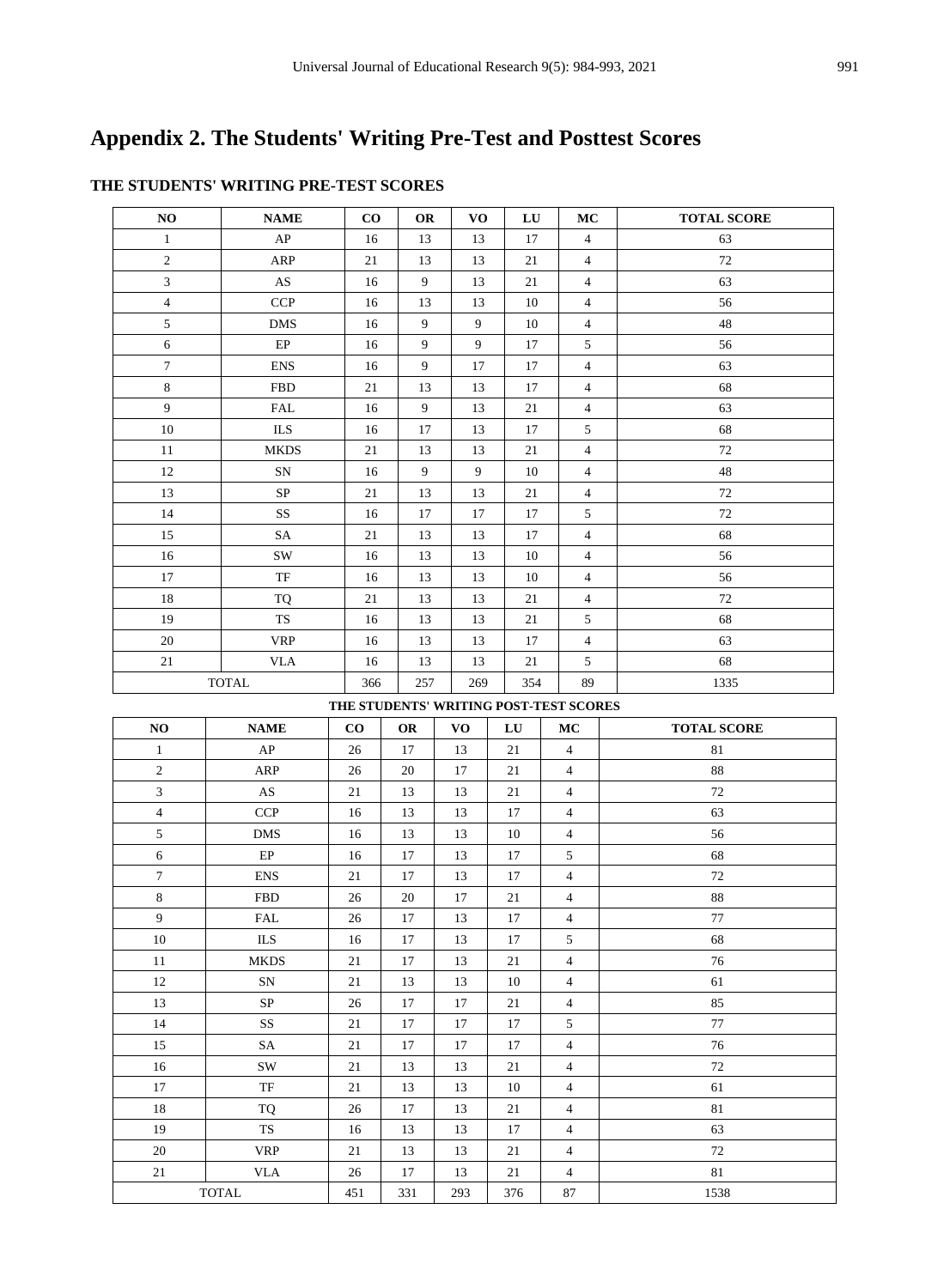# **Appendix 2. The Students' Writing Pre-Test and Posttest Scores**

| NO                                     | <b>NAME</b>            | $\bf{CO}$ | OR        | <b>VO</b>        | LU        | MC                       | <b>TOTAL SCORE</b> |
|----------------------------------------|------------------------|-----------|-----------|------------------|-----------|--------------------------|--------------------|
| $\mathbf{1}$                           | AP                     | 16        | 13        | 13               | 17        | $\overline{4}$           | 63                 |
| $\overline{c}$                         | <b>ARP</b>             | 21        | 13        | 13               | 21        | $\overline{4}$           | 72                 |
| $\mathfrak{Z}$                         | $\mathbf{A}\mathbf{S}$ | 16        | 9         | 13               | 21        | $\overline{4}$           | 63                 |
| $\overline{4}$                         | <b>CCP</b>             | 16        | 13        | 13               | $10\,$    | $\overline{4}$           | 56                 |
| $\sqrt{5}$                             | <b>DMS</b>             | 16        | 9         | 9                | $10\,$    | $\overline{4}$           | $\sqrt{48}$        |
| $\sqrt{6}$                             | $\rm EP$               | 16        | 9         | 9                | 17        | $\sqrt{5}$               | 56                 |
| $\tau$                                 | <b>ENS</b>             | 16        | 9         | 17               | $17\,$    | $\overline{4}$           | 63                 |
| 8                                      | <b>FBD</b>             | 21        | 13        | 13               | 17        | $\overline{4}$           | 68                 |
| $\overline{9}$                         | <b>FAL</b>             | 16        | 9         | 13               | 21        | $\overline{4}$           | 63                 |
| 10                                     | $\rm ILS$              | 16        | 17        | 13               | 17        | $5\,$                    | 68                 |
| 11                                     | <b>MKDS</b>            | 21        | 13        | 13               | $21\,$    | $\overline{4}$           | $72\,$             |
| 12                                     | ${\rm SN}$             | 16        | 9         | $\boldsymbol{9}$ | $10\,$    | $\overline{4}$           | $48\,$             |
| 13                                     | $\rm SP$               | 21        | 13        | 13               | 21        | $\overline{4}$           | $72\,$             |
| 14                                     | SS                     | 16        | 17        | 17               | $17\,$    | $\sqrt{5}$               | $72\,$             |
| 15                                     | SA                     | 21        | 13        | 13               | 17        | $\overline{4}$           | 68                 |
| 16                                     | SW                     | 16        | 13        | 13               | 10        | $\overline{4}$           | 56                 |
| 17                                     | TF                     | 16        | 13        | 13               | 10        | $\overline{4}$           | 56                 |
| 18                                     | <b>TQ</b>              | $21\,$    | 13        | 13               | $21\,$    | $\overline{4}$           | $72\,$             |
| 19                                     | ${\rm TS}$             | 16        | 13        | 13               | $21\,$    | $\sqrt{5}$               | 68                 |
| 20                                     | <b>VRP</b>             | 16        | 13        | 13               | 17        | $\overline{4}$           | 63                 |
| 21                                     | <b>VLA</b>             | 16        | 13        | 13               | 21        | 5                        | 68                 |
|                                        | <b>TOTAL</b>           | 366       | 257       | 269              | 354       | 89                       | 1335               |
| THE STUDENTS' WRITING POST-TEST SCORES |                        |           |           |                  |           |                          |                    |
|                                        |                        |           |           |                  |           |                          |                    |
| NO                                     | <b>NAME</b>            | $\bf CO$  | <b>OR</b> | VO               | LU        | МC                       | <b>TOTAL SCORE</b> |
| $\mathbf{1}$                           | AP                     | 26        | 17        | 13               | 21        | $\overline{4}$           | 81                 |
| $\sqrt{2}$                             | <b>ARP</b>             | 26        | 20        | 17               | 21        | $\overline{4}$           | 88                 |
| $\mathfrak{Z}$                         | $\mathbf{A}\mathbf{S}$ | $21\,$    | 13        | 13               | $21\,$    | $\overline{4}$           | 72                 |
| $\overline{4}$                         | <b>CCP</b>             | 16        | 13        | 13               | 17        | $\overline{4}$           | 63                 |
| 5                                      | <b>DMS</b>             | 16        | 13        | 13               | $10\,$    | $\overline{4}$           | 56                 |
| 6                                      | $\rm EP$               | 16        | 17        | 13               | 17        | 5                        | 68                 |
| $\tau$                                 | <b>ENS</b>             | $21\,$    | 17        | 13               | 17        | $\overline{\mathcal{L}}$ | $72\,$             |
| $\,8\,$                                | <b>FBD</b>             | 26        | 20        | 17               | 21        | $\overline{4}$           | 88                 |
| 9                                      | <b>FAL</b>             | 26        | 17        | 13               | 17        | $\overline{4}$           | $77\,$             |
| 10                                     | $\rm ILS$              | 16        | 17        | 13               | 17        | 5                        | 68                 |
| 11                                     | <b>MKDS</b>            | 21        | 17        | 13               | 21        | $\overline{4}$           | 76                 |
| 12                                     | SN                     | 21        | 13        | 13               | 10        | $\overline{4}$           | 61                 |
| 13                                     | ${\rm SP}$             | 26        | 17        | 17               | 21        | $\overline{4}$           | 85                 |
| 14                                     | SS                     | 21        | 17        | 17               | 17        | 5                        | $77\,$             |
| 15                                     | SA                     | 21        | 17        | 17               | 17        | $\overline{4}$           | 76                 |
| 16                                     | SW                     | 21        | 13        | 13               | 21        | $\overline{4}$           | 72                 |
| 17                                     | TF                     | 21        | 13        | 13               | 10        | $\overline{4}$           | 61                 |
| 18                                     | TQ                     | 26        | 17        | 13               | 21        | 4                        | 81                 |
| 19                                     | ${\rm TS}$             | 16        | 13        | 13               | 17        | $\overline{4}$           | 63                 |
| 20                                     | <b>VRP</b>             | 21        | 13        | 13               | 21        | $\overline{4}$           | $72\,$             |
| 21                                     | <b>VLA</b><br>TOTAL    | 26<br>451 | 17<br>331 | 13<br>293        | 21<br>376 | $\overline{4}$<br>87     | $81\,$<br>1538     |

# **THE STUDENTS' WRITING PRE-TEST SCORES**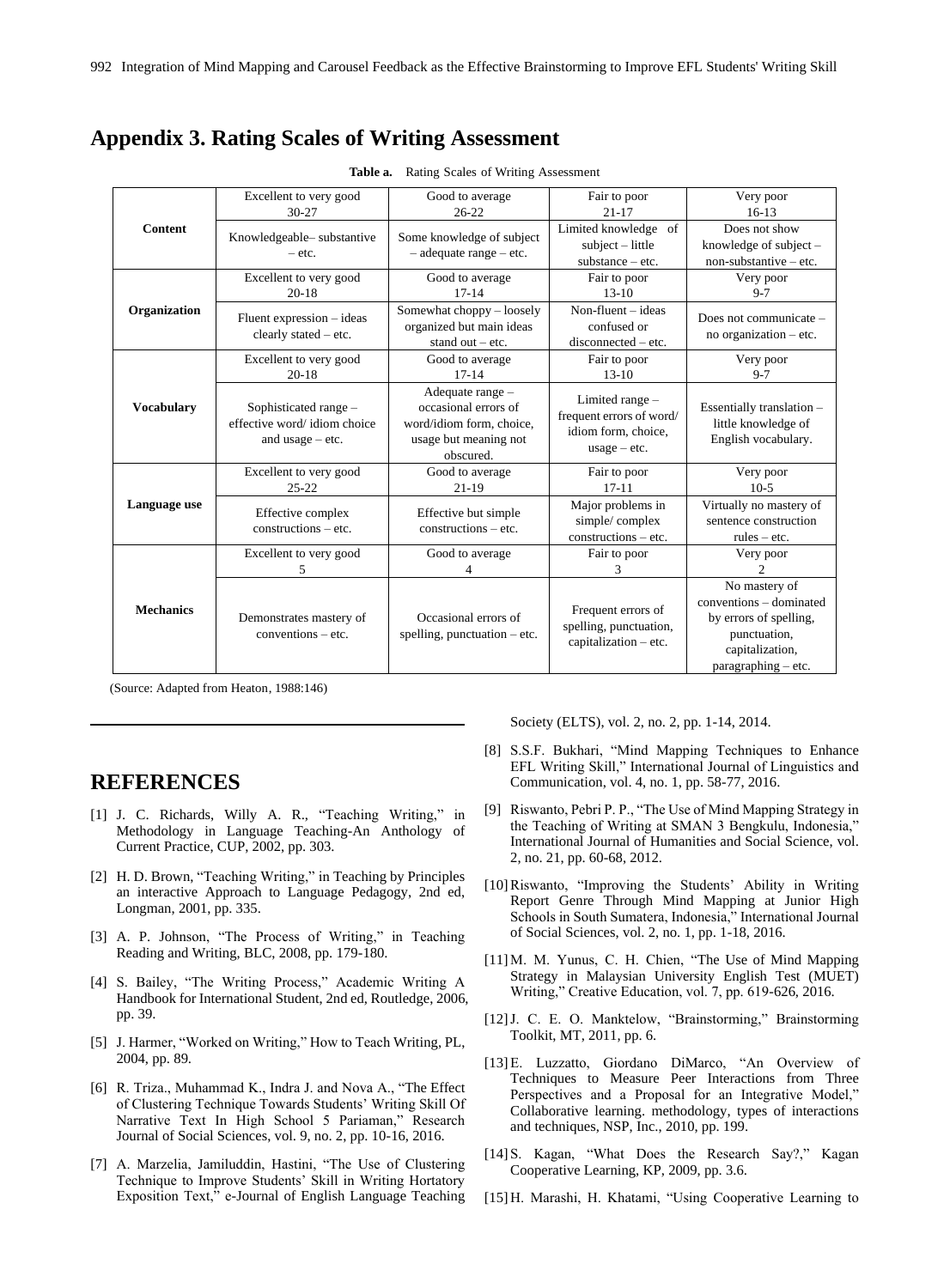# **Appendix 3. Rating Scales of Writing Assessment**

|                   | Excellent to very good                                                     | Good to average                                                                                            | Fair to poor                                                                         | Very poor                                                               |  |
|-------------------|----------------------------------------------------------------------------|------------------------------------------------------------------------------------------------------------|--------------------------------------------------------------------------------------|-------------------------------------------------------------------------|--|
|                   | $30 - 27$                                                                  | $26 - 22$                                                                                                  | $21 - 17$                                                                            | $16-13$                                                                 |  |
| <b>Content</b>    | Knowledgeable-substantive                                                  | Some knowledge of subject                                                                                  | Limited knowledge of                                                                 | Does not show                                                           |  |
|                   | $-$ etc.                                                                   | $-$ adequate range $-$ etc.                                                                                | $subject - little$                                                                   | knowledge of subject $-$                                                |  |
|                   |                                                                            |                                                                                                            | $substance - etc.$                                                                   | $non-substantive - etc.$                                                |  |
|                   | Excellent to very good                                                     | Good to average                                                                                            | Fair to poor                                                                         | Very poor                                                               |  |
|                   | $20 - 18$                                                                  | $17 - 14$                                                                                                  | $13 - 10$                                                                            | $9 - 7$                                                                 |  |
| Organization      | Fluent expression - ideas                                                  | Somewhat choppy - loosely                                                                                  | Non-fluent $-$ ideas                                                                 | Does not communicate –                                                  |  |
|                   | clearly stated - etc.                                                      | organized but main ideas                                                                                   | confused or                                                                          | no organization $-$ etc.                                                |  |
|                   |                                                                            | stand out $-$ etc.                                                                                         | disconnected - etc.                                                                  |                                                                         |  |
|                   | Excellent to very good                                                     | Good to average                                                                                            | Fair to poor                                                                         | Very poor                                                               |  |
|                   | $20-18$                                                                    | $17 - 14$                                                                                                  | $13 - 10$                                                                            | $9 - 7$                                                                 |  |
| <b>Vocabulary</b> | Sophisticated range -<br>effective word/idiom choice<br>and usage $-$ etc. | Adequate range -<br>occasional errors of<br>word/idiom form, choice,<br>usage but meaning not<br>obscured. | Limited range -<br>frequent errors of word/<br>idiom form, choice,<br>$usage - etc.$ | Essentially translation -<br>little knowledge of<br>English vocabulary. |  |
|                   | Excellent to very good                                                     | Good to average                                                                                            | Fair to poor                                                                         | Very poor                                                               |  |
|                   | $25 - 22$                                                                  | $21 - 19$                                                                                                  | $17 - 11$                                                                            | $10-5$                                                                  |  |
| Language use      | Effective complex                                                          | Effective but simple                                                                                       | Major problems in                                                                    | Virtually no mastery of                                                 |  |
|                   | $constructions - etc.$                                                     | $constructions - etc.$                                                                                     | simple/complex                                                                       | sentence construction                                                   |  |
|                   |                                                                            |                                                                                                            | $constructions - etc.$                                                               | $rules - etc.$                                                          |  |
|                   | Excellent to very good                                                     | Good to average                                                                                            | Fair to poor                                                                         | Very poor                                                               |  |
|                   | 5                                                                          |                                                                                                            | 3                                                                                    |                                                                         |  |
|                   |                                                                            |                                                                                                            |                                                                                      | No mastery of                                                           |  |
| <b>Mechanics</b>  |                                                                            |                                                                                                            | Frequent errors of                                                                   | conventions – dominated                                                 |  |
|                   | Demonstrates mastery of                                                    | Occasional errors of                                                                                       | spelling, punctuation,                                                               | by errors of spelling,                                                  |  |
|                   | $conventions - etc.$                                                       | spelling, punctuation $-$ etc.                                                                             | capitalization - etc.                                                                | punctuation,                                                            |  |
|                   |                                                                            |                                                                                                            |                                                                                      | capitalization,                                                         |  |
|                   |                                                                            |                                                                                                            |                                                                                      | paragraphing – etc.                                                     |  |

**Table a.** Rating Scales of Writing Assessment

(Source: Adapted from Heaton, 1988:146)

# **REFERENCES**

- [1] J. C. Richards, Willy A. R., "Teaching Writing," in Methodology in Language Teaching-An Anthology of Current Practice, CUP, 2002, pp. 303.
- [2] H. D. Brown, "Teaching Writing," in Teaching by Principles an interactive Approach to Language Pedagogy, 2nd ed, Longman, 2001, pp. 335.
- [3] A. P. Johnson, "The Process of Writing," in Teaching Reading and Writing, BLC, 2008, pp. 179-180.
- [4] S. Bailey, "The Writing Process," Academic Writing A Handbook for International Student, 2nd ed, Routledge, 2006, pp. 39.
- [5] J. Harmer, "Worked on Writing," How to Teach Writing, PL, 2004, pp. 89.
- [6] R. Triza., Muhammad K., Indra J. and Nova A., "The Effect of Clustering Technique Towards Students' Writing Skill Of Narrative Text In High School 5 Pariaman," Research Journal of Social Sciences, vol. 9, no. 2, pp. 10-16, 2016.
- [7] A. Marzelia, Jamiluddin, Hastini, "The Use of Clustering Technique to Improve Students' Skill in Writing Hortatory Exposition Text," e-Journal of English Language Teaching

Society (ELTS), vol. 2, no. 2, pp. 1-14, 2014.

- [8] S.S.F. Bukhari, "Mind Mapping Techniques to Enhance EFL Writing Skill," International Journal of Linguistics and Communication, vol. 4, no. 1, pp. 58-77, 2016.
- [9] Riswanto, Pebri P. P., "The Use of Mind Mapping Strategy in the Teaching of Writing at SMAN 3 Bengkulu, Indonesia," International Journal of Humanities and Social Science, vol. 2, no. 21, pp. 60-68, 2012.
- [10]Riswanto, "Improving the Students' Ability in Writing Report Genre Through Mind Mapping at Junior High Schools in South Sumatera, Indonesia," International Journal of Social Sciences, vol. 2, no. 1, pp. 1-18, 2016.
- [11]M. M. Yunus, C. H. Chien, "The Use of Mind Mapping Strategy in Malaysian University English Test (MUET) Writing," Creative Education, vol. 7, pp. 619-626, 2016.
- [12]J. C. E. O. Manktelow, "Brainstorming," Brainstorming Toolkit, MT, 2011, pp. 6.
- [13]E. Luzzatto, Giordano DiMarco, "An Overview of Techniques to Measure Peer Interactions from Three Perspectives and a Proposal for an Integrative Model," Collaborative learning. methodology, types of interactions and techniques, NSP, Inc., 2010, pp. 199.
- [14] S. Kagan, "What Does the Research Say?," Kagan Cooperative Learning, KP, 2009, pp. 3.6.
- [15] H. Marashi, H. Khatami, "Using Cooperative Learning to